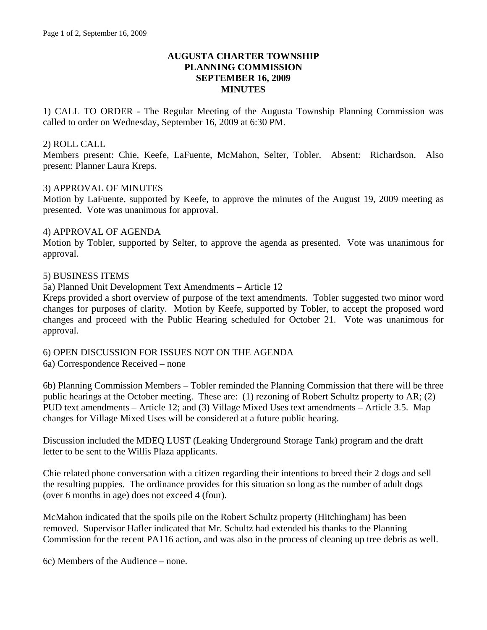# **AUGUSTA CHARTER TOWNSHIP PLANNING COMMISSION SEPTEMBER 16, 2009 MINUTES**

1) CALL TO ORDER - The Regular Meeting of the Augusta Township Planning Commission was called to order on Wednesday, September 16, 2009 at 6:30 PM.

#### 2) ROLL CALL

Members present: Chie, Keefe, LaFuente, McMahon, Selter, Tobler. Absent: Richardson. Also present: Planner Laura Kreps.

#### 3) APPROVAL OF MINUTES

Motion by LaFuente, supported by Keefe, to approve the minutes of the August 19, 2009 meeting as presented. Vote was unanimous for approval.

#### 4) APPROVAL OF AGENDA

Motion by Tobler, supported by Selter, to approve the agenda as presented. Vote was unanimous for approval.

# 5) BUSINESS ITEMS

5a) Planned Unit Development Text Amendments – Article 12

Kreps provided a short overview of purpose of the text amendments. Tobler suggested two minor word changes for purposes of clarity. Motion by Keefe, supported by Tobler, to accept the proposed word changes and proceed with the Public Hearing scheduled for October 21. Vote was unanimous for approval.

#### 6) OPEN DISCUSSION FOR ISSUES NOT ON THE AGENDA

6a) Correspondence Received – none

6b) Planning Commission Members – Tobler reminded the Planning Commission that there will be three public hearings at the October meeting. These are: (1) rezoning of Robert Schultz property to AR; (2) PUD text amendments – Article 12; and (3) Village Mixed Uses text amendments – Article 3.5. Map changes for Village Mixed Uses will be considered at a future public hearing.

Discussion included the MDEQ LUST (Leaking Underground Storage Tank) program and the draft letter to be sent to the Willis Plaza applicants.

Chie related phone conversation with a citizen regarding their intentions to breed their 2 dogs and sell the resulting puppies. The ordinance provides for this situation so long as the number of adult dogs (over 6 months in age) does not exceed 4 (four).

McMahon indicated that the spoils pile on the Robert Schultz property (Hitchingham) has been removed. Supervisor Hafler indicated that Mr. Schultz had extended his thanks to the Planning Commission for the recent PA116 action, and was also in the process of cleaning up tree debris as well.

6c) Members of the Audience – none.